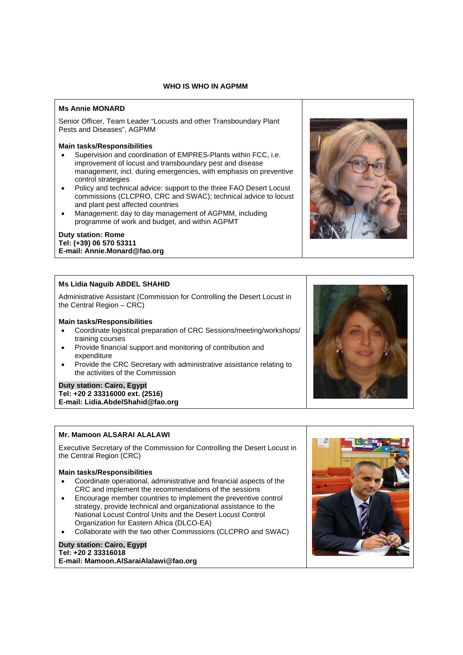## **WHO IS WHO IN AGPMM**

## **Ms Annie MONARD**

Senior Officer, Team Leader "Locusts and other Transboundary Plant Pests and Diseases", AGPMM

## **Main tasks/Responsibilities**

- Supervision and coordination of EMPRES-Plants within FCC, i.e. improvement of locust and transboundary pest and disease management, incl. during emergencies, with emphasis on preventive control strategies
- Policy and technical advice: support to the three FAO Desert Locust commissions (CLCPRO, CRC and SWAC); technical advice to locust and plant pest affected countries
- Management: day to day management of AGPMM, including programme of work and budget, and within AGPMT

#### **Duty station: Rome Tel: (+39) 06 570 53311 E-mail: Annie.Monard@fao.org**

## **Ms Lidia Naguib ABDEL SHAHID**

Administrative Assistant (Commission for Controlling the Desert Locust in the Central Region – CRC)

### **Main tasks/Responsibilities**

- Coordinate logistical preparation of CRC Sessions/meeting/workshops/ training courses
- Provide financial support and monitoring of contribution and expenditure
- Provide the CRC Secretary with administrative assistance relating to the activities of the Commission

### **Duty station: Cairo, Egypt Tel: +20 2 33316000 ext. (2516) E-mail: Lidia.AbdelShahid@fao.org**

## **Mr. Mamoon ALSARAI ALALAWI**

Executive Secretary of the Commission for Controlling the Desert Locust in the Central Region (CRC)

### **Main tasks/Responsibilities**

- Coordinate operational, administrative and financial aspects of the CRC and implement the recommendations of the sessions
- Encourage member countries to implement the preventive control strategy, provide technical and organizational assistance to the National Locust Control Units and the Desert Locust Control Organization for Eastern Africa (DLCO-EA)
- Collaborate with the two other Commissions (CLCPRO and SWAC)

## **Duty station: Cairo, Egypt Tel: +20 2 33316018 E-mail: Mamoon.AlSaraiAlalawi@fao.org**





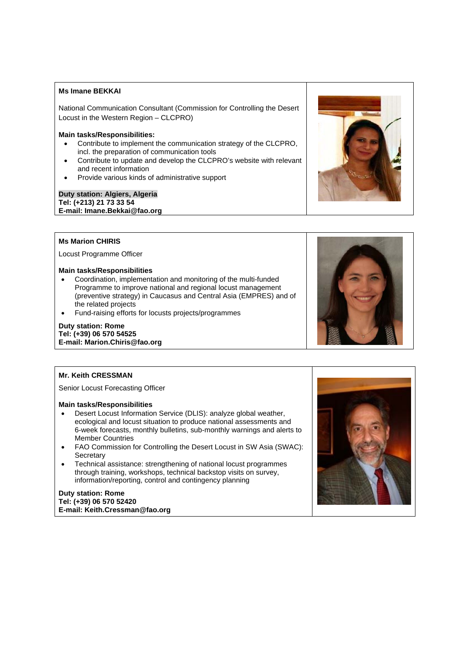## **Ms Imane BEKKAI**

National Communication Consultant (Commission for Controlling the Desert Locust in the Western Region – CLCPRO)

### **Main tasks/Responsibilities:**

- Contribute to implement the communication strategy of the CLCPRO, incl. the preparation of communication tools
- Contribute to update and develop the CLCPRO's website with relevant and recent information
- Provide various kinds of administrative support

## **Duty station: Algiers, Algeria Tel: (+213) 21 73 33 54 E-mail: Imane.Bekkai@fao.org**

## **Ms Marion CHIRIS**

Locust Programme Officer

## **Main tasks/Responsibilities**

- Coordination, implementation and monitoring of the multi-funded Programme to improve national and regional locust management (preventive strategy) in Caucasus and Central Asia (EMPRES) and of the related projects
- Fund-raising efforts for locusts projects/programmes

## **Duty station: Rome Tel: (+39) 06 570 54525 E-mail: Marion.Chiris@fao.org**

### **Mr. Keith CRESSMAN**

Senior Locust Forecasting Officer

## **Main tasks/Responsibilities**

- Desert Locust Information Service (DLIS): analyze global weather, ecological and locust situation to produce national assessments and 6-week forecasts, monthly bulletins, sub-monthly warnings and alerts to Member Countries
- FAO Commission for Controlling the Desert Locust in SW Asia (SWAC): **Secretary**
- Technical assistance: strengthening of national locust programmes through training, workshops, technical backstop visits on survey, information/reporting, control and contingency planning

#### **Duty station: Rome Tel: (+39) 06 570 52420 E-mail: Keith.Cressman@fao.org**





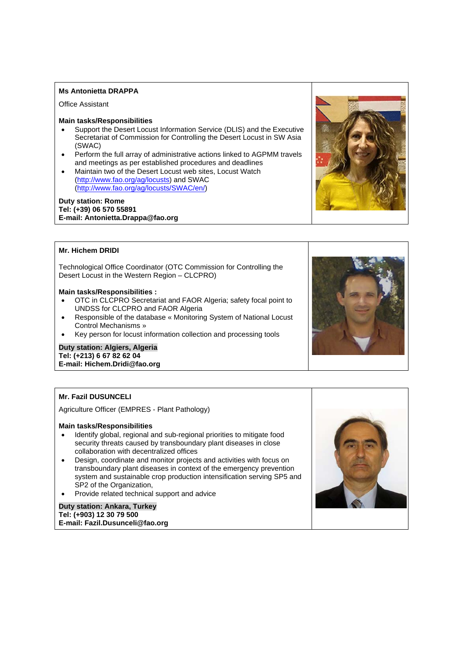## **Ms Antonietta DRAPPA**

Office Assistant

### **Main tasks/Responsibilities**

- Support the Desert Locust Information Service (DLIS) and the Executive Secretariat of Commission for Controlling the Desert Locust in SW Asia (SWAC)
- Perform the full array of administrative actions linked to AGPMM travels and meetings as per established procedures and deadlines
- Maintain two of the Desert Locust web sites, Locust Watch (http://www.fao.org/ag/locusts) and SWAC (http://www.fao.org/ag/locusts/SWAC/en/)

## **Duty station: Rome Tel: (+39) 06 570 55891 E-mail: Antonietta.Drappa@fao.org**



## **Mr. Hichem DRIDI**

Technological Office Coordinator (OTC Commission for Controlling the Desert Locust in the Western Region – CLCPRO)

#### **Main tasks/Responsibilities :**

- OTC in CLCPRO Secretariat and FAOR Algeria; safety focal point to UNDSS for CLCPRO and FAOR Algeria
- Responsible of the database « Monitoring System of National Locust Control Mechanisms »
- Key person for locust information collection and processing tools

## **Duty station: Algiers, Algeria Tel: (+213) 6 67 82 62 04**

**E-mail: Hichem.Dridi@fao.org** 

## **Mr. Fazil DUSUNCELI**

Agriculture Officer (EMPRES - Plant Pathology)

### **Main tasks/Responsibilities**

- Identify global, regional and sub-regional priorities to mitigate food security threats caused by transboundary plant diseases in close collaboration with decentralized offices
- Design, coordinate and monitor projects and activities with focus on transboundary plant diseases in context of the emergency prevention system and sustainable crop production intensification serving SP5 and SP2 of the Organization,
- Provide related technical support and advice

#### **Duty station: Ankara, Turkey Tel: (+903) 12 30 79 500 E-mail: Fazil.Dusunceli@fao.org**



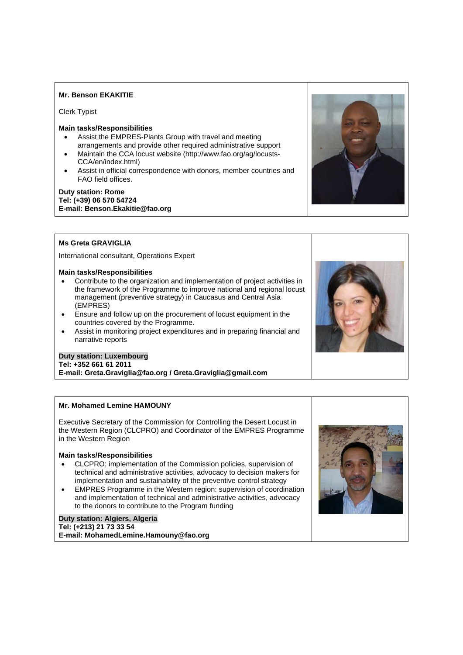## **Mr. Benson EKAKITIE**

Clerk Typist

## **Main tasks/Responsibilities**

- Assist the EMPRES-Plants Group with travel and meeting arrangements and provide other required administrative support
- Maintain the CCA locust website (http://www.fao.org/ag/locusts-CCA/en/index.html)
- Assist in official correspondence with donors, member countries and FAO field offices.

## **Duty station: Rome Tel: (+39) 06 570 54724 E-mail: Benson.Ekakitie@fao.org**



## **Ms Greta GRAVIGLIA**

International consultant, Operations Expert

## **Main tasks/Responsibilities**

- Contribute to the organization and implementation of project activities in the framework of the Programme to improve national and regional locust management (preventive strategy) in Caucasus and Central Asia (EMPRES)
- Ensure and follow up on the procurement of locust equipment in the countries covered by the Programme.
- Assist in monitoring project expenditures and in preparing financial and narrative reports

# **Duty station: Luxembourg**

### **Tel: +352 661 61 2011**

**E-mail: Greta.Graviglia@fao.org / Greta.Graviglia@gmail.com** 

## **Mr. Mohamed Lemine HAMOUNY**

Executive Secretary of the Commission for Controlling the Desert Locust in the Western Region (CLCPRO) and Coordinator of the EMPRES Programme in the Western Region

## **Main tasks/Responsibilities**

- CLCPRO: implementation of the Commission policies, supervision of technical and administrative activities, advocacy to decision makers for implementation and sustainability of the preventive control strategy
- EMPRES Programme in the Western region: supervision of coordination and implementation of technical and administrative activities, advocacy to the donors to contribute to the Program funding

### **Duty station: Algiers, Algeria Tel: (+213) 21 73 33 54 E-mail: MohamedLemine.Hamouny@fao.org**



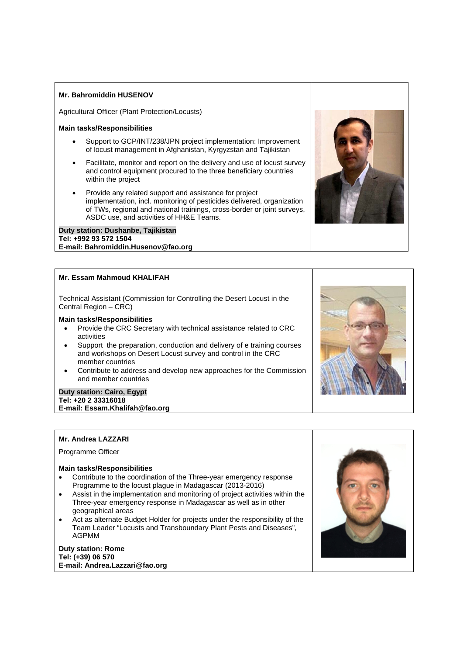## **Mr. Bahromiddin HUSENOV**

Agricultural Officer (Plant Protection/Locusts)

#### **Main tasks/Responsibilities**

- Support to GCP/INT/238/JPN project implementation: Improvement of locust management in Afghanistan, Kyrgyzstan and Tajikistan
- Facilitate, monitor and report on the delivery and use of locust survey and control equipment procured to the three beneficiary countries within the project
- Provide any related support and assistance for project implementation, incl. monitoring of pesticides delivered, organization of TWs, regional and national trainings, cross-border or joint surveys, ASDC use, and activities of HH&E Teams.

#### **Duty station: Dushanbe, Tajikistan Tel: +992 93 572 1504 E-mail: Bahromiddin.Husenov@fao.org**

## **Mr. Essam Mahmoud KHALIFAH**

Technical Assistant (Commission for Controlling the Desert Locust in the Central Region – CRC)

## **Main tasks/Responsibilities**

- Provide the CRC Secretary with technical assistance related to CRC activities
- Support the preparation, conduction and delivery of e training courses and workshops on Desert Locust survey and control in the CRC member countries
- Contribute to address and develop new approaches for the Commission and member countries

#### **Duty station: Cairo, Egypt Tel: +20 2 33316018 E-mail: Essam.Khalifah@fao.org**

### **Mr. Andrea LAZZARI**

Programme Officer

### **Main tasks/Responsibilities**

- Contribute to the coordination of the Three-year emergency response Programme to the locust plague in Madagascar (2013-2016)
- Assist in the implementation and monitoring of project activities within the Three-year emergency response in Madagascar as well as in other geographical areas
- Act as alternate Budget Holder for projects under the responsibility of the Team Leader "Locusts and Transboundary Plant Pests and Diseases", AGPMM

### **Duty station: Rome Tel: (+39) 06 570 E-mail: Andrea.Lazzari@fao.org**





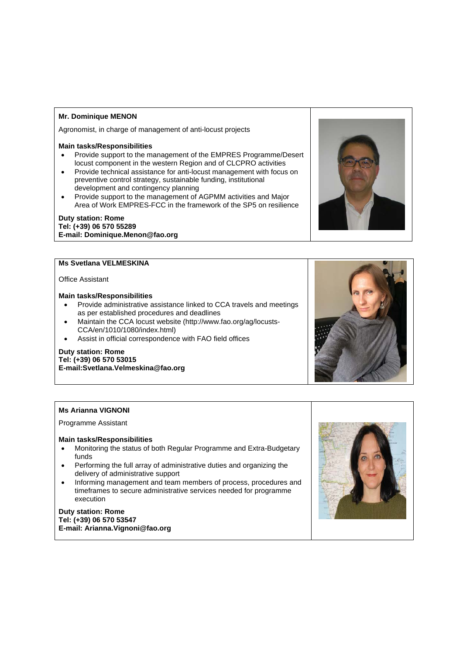## **Mr. Dominique MENON**

Agronomist, in charge of management of anti-locust projects

### **Main tasks/Responsibilities**

- Provide support to the management of the EMPRES Programme/Desert locust component in the western Region and of CLCPRO activities
- Provide technical assistance for anti-locust management with focus on preventive control strategy, sustainable funding, institutional development and contingency planning
- Provide support to the management of AGPMM activities and Major Area of Work EMPRES-FCC in the framework of the SP5 on resilience

## **Duty station: Rome Tel: (+39) 06 570 55289 E-mail: Dominique.Menon@fao.org**

## **Ms Svetlana VELMESKINA**

### Office Assistant

## **Main tasks/Responsibilities**

- Provide administrative assistance linked to CCA travels and meetings as per established procedures and deadlines
- Maintain the CCA locust website (http://www.fao.org/ag/locusts-CCA/en/1010/1080/index.html)
- Assist in official correspondence with FAO field offices

## **Duty station: Rome**

**Tel: (+39) 06 570 53015 E-mail:Svetlana.Velmeskina@fao.org** 

### **Ms Arianna VIGNONI**

Programme Assistant

#### **Main tasks/Responsibilities**

- Monitoring the status of both Regular Programme and Extra-Budgetary funds
- Performing the full array of administrative duties and organizing the delivery of administrative support
- Informing management and team members of process, procedures and timeframes to secure administrative services needed for programme execution

## **Duty station: Rome Tel: (+39) 06 570 53547 E-mail: Arianna.Vignoni@fao.org**